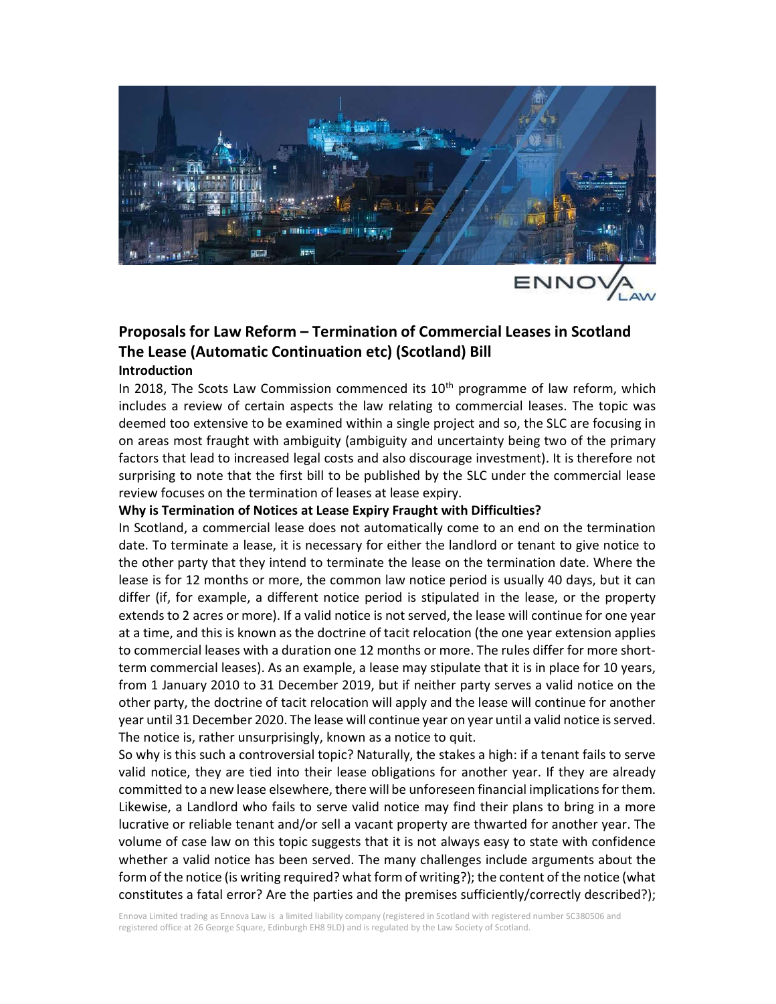

# Proposals for Law Reform – Termination of Commercial Leases in Scotland The Lease (Automatic Continuation etc) (Scotland) Bill Introduction

In 2018, The Scots Law Commission commenced its  $10<sup>th</sup>$  programme of law reform, which includes a review of certain aspects the law relating to commercial leases. The topic was deemed too extensive to be examined within a single project and so, the SLC are focusing in on areas most fraught with ambiguity (ambiguity and uncertainty being two of the primary factors that lead to increased legal costs and also discourage investment). It is therefore not surprising to note that the first bill to be published by the SLC under the commercial lease review focuses on the termination of leases at lease expiry.

#### Why is Termination of Notices at Lease Expiry Fraught with Difficulties?

In Scotland, a commercial lease does not automatically come to an end on the termination date. To terminate a lease, it is necessary for either the landlord or tenant to give notice to the other party that they intend to terminate the lease on the termination date. Where the lease is for 12 months or more, the common law notice period is usually 40 days, but it can differ (if, for example, a different notice period is stipulated in the lease, or the property extends to 2 acres or more). If a valid notice is not served, the lease will continue for one year at a time, and this is known as the doctrine of tacit relocation (the one year extension applies to commercial leases with a duration one 12 months or more. The rules differ for more shortterm commercial leases). As an example, a lease may stipulate that it is in place for 10 years, from 1 January 2010 to 31 December 2019, but if neither party serves a valid notice on the other party, the doctrine of tacit relocation will apply and the lease will continue for another year until 31 December 2020. The lease will continue year on year until a valid notice is served. The notice is, rather unsurprisingly, known as a notice to quit.

So why is this such a controversial topic? Naturally, the stakes a high: if a tenant fails to serve valid notice, they are tied into their lease obligations for another year. If they are already committed to a new lease elsewhere, there will be unforeseen financial implications for them. Likewise, a Landlord who fails to serve valid notice may find their plans to bring in a more lucrative or reliable tenant and/or sell a vacant property are thwarted for another year. The volume of case law on this topic suggests that it is not always easy to state with confidence whether a valid notice has been served. The many challenges include arguments about the form of the notice (is writing required? what form of writing?); the content of the notice (what constitutes a fatal error? Are the parties and the premises sufficiently/correctly described?);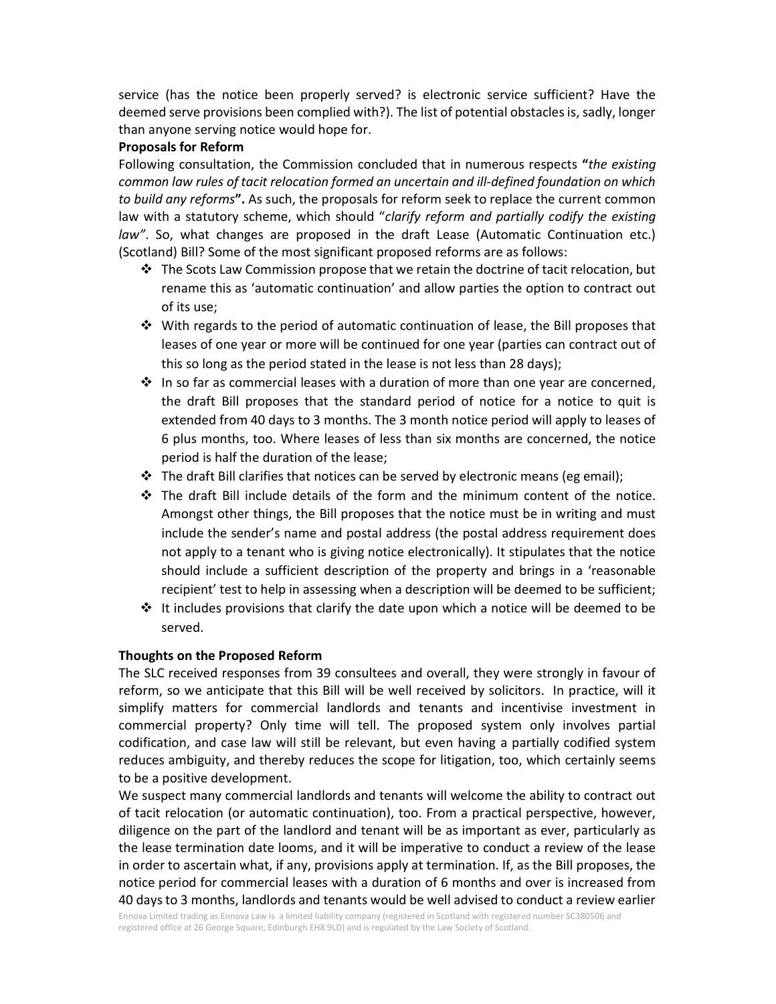service (has the notice been properly served? is electronic service sufficient? Have the deemed serve provisions been complied with?). The list of potential obstacles is, sadly, longer than anyone serving notice would hope for.

#### Proposals for Reform

Following consultation, the Commission concluded that in numerous respects "the existing common law rules of tacit relocation formed an uncertain and ill-defined foundation on which to build any reforms". As such, the proposals for reform seek to replace the current common law with a statutory scheme, which should "clarify reform and partially codify the existing law". So, what changes are proposed in the draft Lease (Automatic Continuation etc.) (Scotland) Bill? Some of the most significant proposed reforms are as follows:

- $\clubsuit$  The Scots Law Commission propose that we retain the doctrine of tacit relocation, but rename this as 'automatic continuation' and allow parties the option to contract out of its use;
- $\cdot \cdot$  With regards to the period of automatic continuation of lease, the Bill proposes that leases of one year or more will be continued for one year (parties can contract out of this so long as the period stated in the lease is not less than 28 days);
- $\cdot \cdot$  In so far as commercial leases with a duration of more than one year are concerned, the draft Bill proposes that the standard period of notice for a notice to quit is extended from 40 days to 3 months. The 3 month notice period will apply to leases of 6 plus months, too. Where leases of less than six months are concerned, the notice period is half the duration of the lease;
- $\div$  The draft Bill clarifies that notices can be served by electronic means (eg email);
- $\div$  The draft Bill include details of the form and the minimum content of the notice. Amongst other things, the Bill proposes that the notice must be in writing and must include the sender's name and postal address (the postal address requirement does not apply to a tenant who is giving notice electronically). It stipulates that the notice should include a sufficient description of the property and brings in a 'reasonable recipient' test to help in assessing when a description will be deemed to be sufficient;
- $\div$  It includes provisions that clarify the date upon which a notice will be deemed to be served.

## Thoughts on the Proposed Reform

The SLC received responses from 39 consultees and overall, they were strongly in favour of reform, so we anticipate that this Bill will be well received by solicitors. In practice, will it simplify matters for commercial landlords and tenants and incentivise investment in commercial property? Only time will tell. The proposed system only involves partial codification, and case law will still be relevant, but even having a partially codified system reduces ambiguity, and thereby reduces the scope for litigation, too, which certainly seems to be a positive development.

We suspect many commercial landlords and tenants will welcome the ability to contract out of tacit relocation (or automatic continuation), too. From a practical perspective, however, diligence on the part of the landlord and tenant will be as important as ever, particularly as the lease termination date looms, and it will be imperative to conduct a review of the lease in order to ascertain what, if any, provisions apply at termination. If, as the Bill proposes, the notice period for commercial leases with a duration of 6 months and over is increased from 40 days to 3 months, landlords and tenants would be well advised to conduct a review earlier

Ennova Limited trading as Ennova Law is a limited liability company (registered in Scotland with registered number SC380506 and registered office at 26 George Square, Edinburgh EH8 9LD) and is regulated by the Law Society of Scotland.